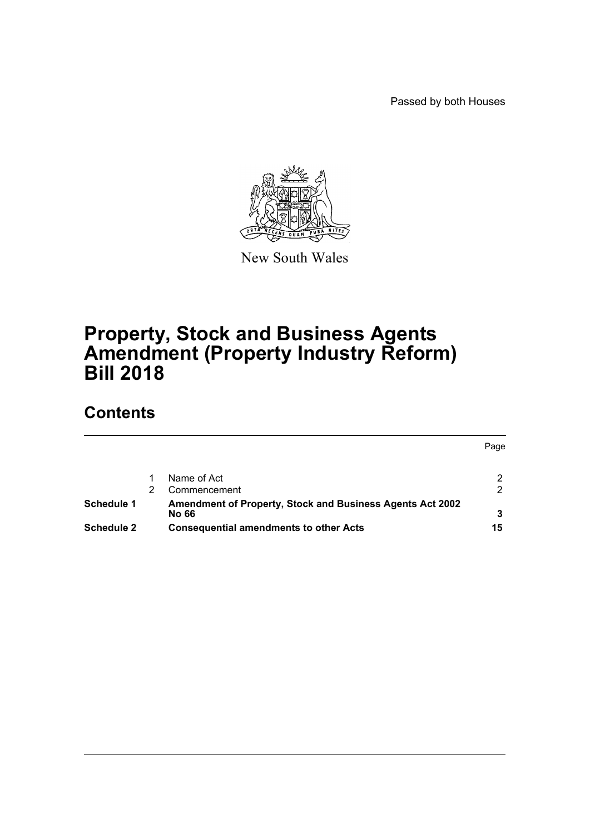Passed by both Houses



New South Wales

# **Property, Stock and Business Agents Amendment (Property Industry Reform) Bill 2018**

# **Contents**

|                   |                                                                           | Page |
|-------------------|---------------------------------------------------------------------------|------|
|                   | Name of Act                                                               |      |
|                   | Commencement                                                              |      |
| Schedule 1        | <b>Amendment of Property, Stock and Business Agents Act 2002</b><br>No 66 |      |
| <b>Schedule 2</b> | <b>Consequential amendments to other Acts</b>                             | 15   |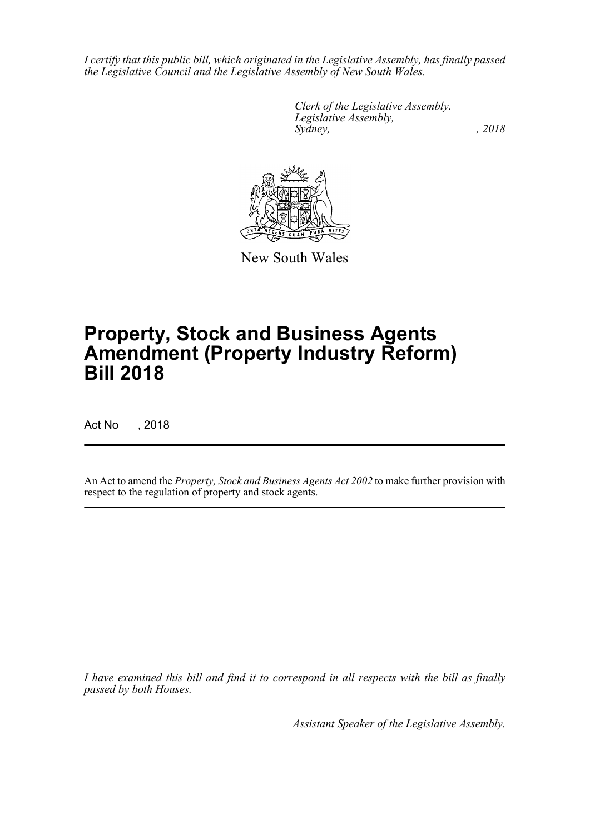*I certify that this public bill, which originated in the Legislative Assembly, has finally passed the Legislative Council and the Legislative Assembly of New South Wales.*

> *Clerk of the Legislative Assembly. Legislative Assembly, Sydney, , 2018*



New South Wales

# **Property, Stock and Business Agents Amendment (Property Industry Reform) Bill 2018**

Act No , 2018

An Act to amend the *Property, Stock and Business Agents Act 2002* to make further provision with respect to the regulation of property and stock agents.

*I have examined this bill and find it to correspond in all respects with the bill as finally passed by both Houses.*

*Assistant Speaker of the Legislative Assembly.*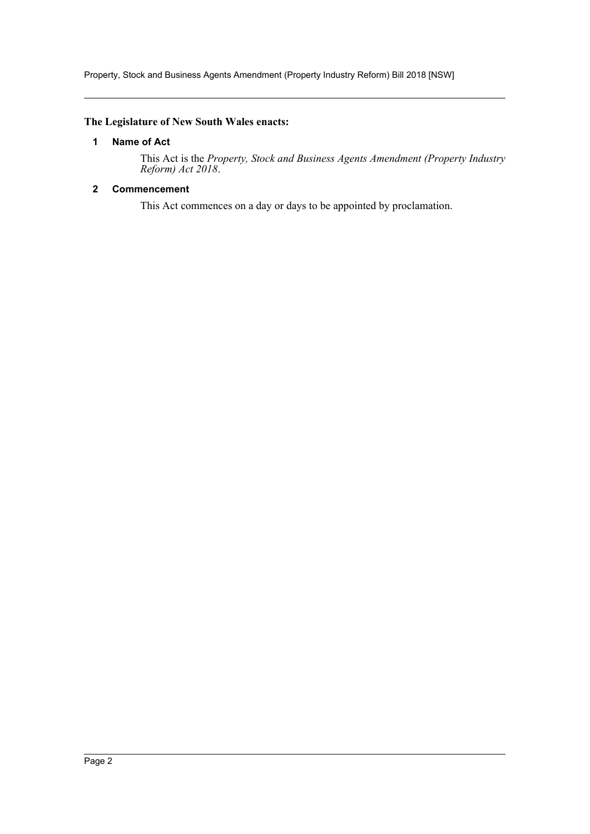Property, Stock and Business Agents Amendment (Property Industry Reform) Bill 2018 [NSW]

### <span id="page-2-0"></span>**The Legislature of New South Wales enacts:**

### **1 Name of Act**

This Act is the *Property, Stock and Business Agents Amendment (Property Industry Reform) Act 2018*.

### <span id="page-2-1"></span>**2 Commencement**

This Act commences on a day or days to be appointed by proclamation.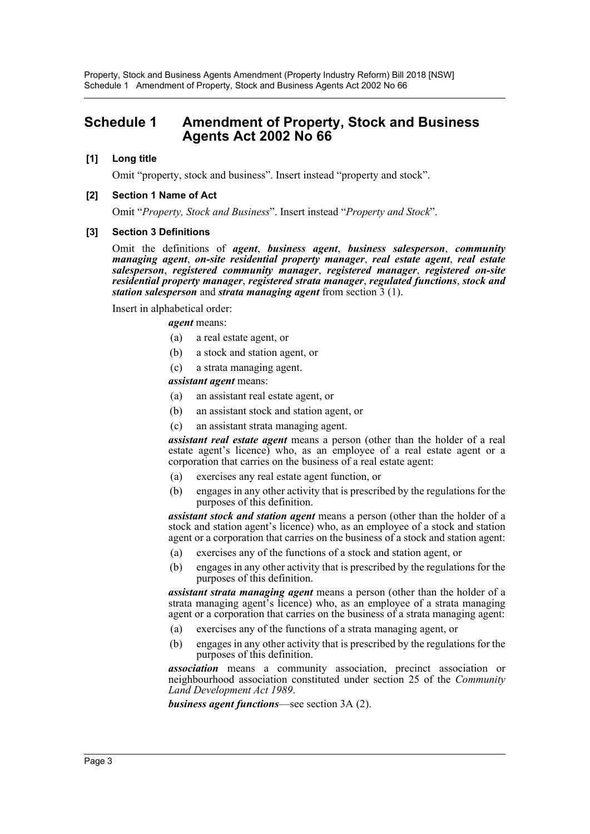Property, Stock and Business Agents Amendment (Property Industry Reform) Bill 2018 [NSW] Schedule 1 Amendment of Property, Stock and Business Agents Act 2002 No 66

## <span id="page-3-0"></span>**Schedule 1 Amendment of Property, Stock and Business Agents Act 2002 No 66**

#### **[1] Long title**

Omit "property, stock and business". Insert instead "property and stock".

#### **[2] Section 1 Name of Act**

Omit "*Property, Stock and Business*". Insert instead "*Property and Stock*".

#### **[3] Section 3 Definitions**

Omit the definitions of *agent*, *business agent*, *business salesperson*, *community managing agent*, *on-site residential property manager*, *real estate agent*, *real estate salesperson*, *registered community manager*, *registered manager*, *registered on-site residential property manager*, *registered strata manager*, *regulated functions*, *stock and station salesperson* and *strata managing agent* from section 3 (1).

Insert in alphabetical order:

*agent* means:

- (a) a real estate agent, or
- (b) a stock and station agent, or
- (c) a strata managing agent.

*assistant agent* means:

- (a) an assistant real estate agent, or
- (b) an assistant stock and station agent, or
- (c) an assistant strata managing agent.

*assistant real estate agent* means a person (other than the holder of a real estate agent's licence) who, as an employee of a real estate agent or a corporation that carries on the business of a real estate agent:

- (a) exercises any real estate agent function, or
- (b) engages in any other activity that is prescribed by the regulations for the purposes of this definition.

*assistant stock and station agent* means a person (other than the holder of a stock and station agent's licence) who, as an employee of a stock and station agent or a corporation that carries on the business of a stock and station agent:

- (a) exercises any of the functions of a stock and station agent, or
- (b) engages in any other activity that is prescribed by the regulations for the purposes of this definition.

*assistant strata managing agent* means a person (other than the holder of a strata managing agent's licence) who, as an employee of a strata managing agent or a corporation that carries on the business of a strata managing agent:

- (a) exercises any of the functions of a strata managing agent, or
- (b) engages in any other activity that is prescribed by the regulations for the purposes of this definition.

*association* means a community association, precinct association or neighbourhood association constituted under section 25 of the *Community Land Development Act 1989*.

*business agent functions*—see section 3A (2).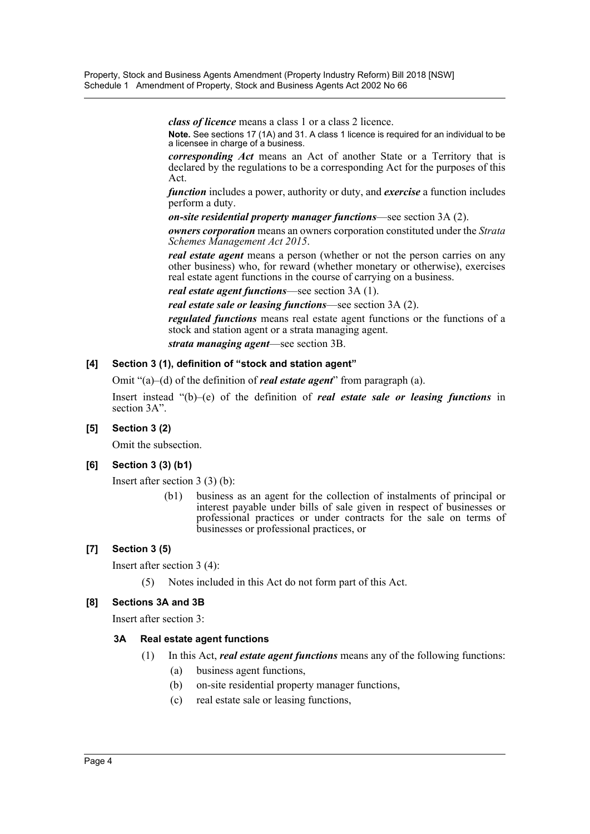*class of licence* means a class 1 or a class 2 licence. **Note.** See sections 17 (1A) and 31. A class 1 licence is required for an individual to be a licensee in charge of a business.

*corresponding Act* means an Act of another State or a Territory that is declared by the regulations to be a corresponding Act for the purposes of this Act.

*function* includes a power, authority or duty, and *exercise* a function includes perform a duty.

*on-site residential property manager functions*—see section 3A (2).

*owners corporation* means an owners corporation constituted under the *Strata Schemes Management Act 2015*.

*real estate agent* means a person (whether or not the person carries on any other business) who, for reward (whether monetary or otherwise), exercises real estate agent functions in the course of carrying on a business.

*real estate agent functions*—see section 3A (1).

*real estate sale or leasing functions*—see section 3A (2).

*regulated functions* means real estate agent functions or the functions of a stock and station agent or a strata managing agent.

*strata managing agent*—see section 3B.

### **[4] Section 3 (1), definition of "stock and station agent"**

Omit "(a)–(d) of the definition of *real estate agent*" from paragraph (a).

Insert instead "(b)–(e) of the definition of *real estate sale or leasing functions* in section 3A".

### **[5] Section 3 (2)**

Omit the subsection.

### **[6] Section 3 (3) (b1)**

Insert after section 3 (3) (b):

(b1) business as an agent for the collection of instalments of principal or interest payable under bills of sale given in respect of businesses or professional practices or under contracts for the sale on terms of businesses or professional practices, or

### **[7] Section 3 (5)**

Insert after section 3 (4):

(5) Notes included in this Act do not form part of this Act.

### **[8] Sections 3A and 3B**

Insert after section 3:

### **3A Real estate agent functions**

- (1) In this Act, *real estate agent functions* means any of the following functions:
	- (a) business agent functions,
	- (b) on-site residential property manager functions,
	- (c) real estate sale or leasing functions,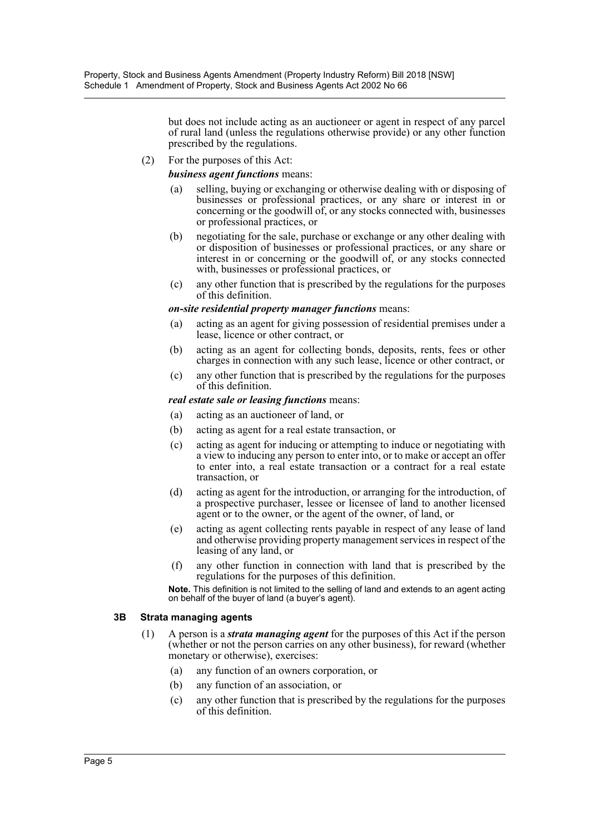but does not include acting as an auctioneer or agent in respect of any parcel of rural land (unless the regulations otherwise provide) or any other function prescribed by the regulations.

(2) For the purposes of this Act:

*business agent functions* means:

- (a) selling, buying or exchanging or otherwise dealing with or disposing of businesses or professional practices, or any share or interest in or concerning or the goodwill of, or any stocks connected with, businesses or professional practices, or
- (b) negotiating for the sale, purchase or exchange or any other dealing with or disposition of businesses or professional practices, or any share or interest in or concerning or the goodwill of, or any stocks connected with, businesses or professional practices, or
- (c) any other function that is prescribed by the regulations for the purposes of this definition.

### *on-site residential property manager functions* means:

- (a) acting as an agent for giving possession of residential premises under a lease, licence or other contract, or
- (b) acting as an agent for collecting bonds, deposits, rents, fees or other charges in connection with any such lease, licence or other contract, or
- (c) any other function that is prescribed by the regulations for the purposes of this definition.

#### *real estate sale or leasing functions* means:

- (a) acting as an auctioneer of land, or
- (b) acting as agent for a real estate transaction, or
- (c) acting as agent for inducing or attempting to induce or negotiating with a view to inducing any person to enter into, or to make or accept an offer to enter into, a real estate transaction or a contract for a real estate transaction, or
- (d) acting as agent for the introduction, or arranging for the introduction, of a prospective purchaser, lessee or licensee of land to another licensed agent or to the owner, or the agent of the owner, of land, or
- (e) acting as agent collecting rents payable in respect of any lease of land and otherwise providing property management services in respect of the leasing of any land, or
- (f) any other function in connection with land that is prescribed by the regulations for the purposes of this definition.

**Note.** This definition is not limited to the selling of land and extends to an agent acting on behalf of the buyer of land (a buyer's agent).

#### **3B Strata managing agents**

- (1) A person is a *strata managing agent* for the purposes of this Act if the person (whether or not the person carries on any other business), for reward (whether monetary or otherwise), exercises:
	- (a) any function of an owners corporation, or
	- (b) any function of an association, or
	- (c) any other function that is prescribed by the regulations for the purposes of this definition.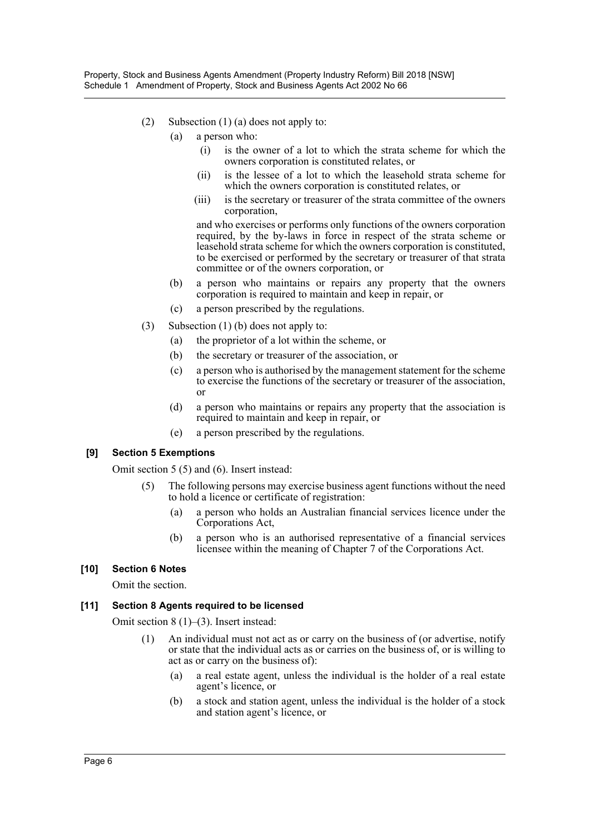- (2) Subsection (1) (a) does not apply to:
	- (a) a person who:
		- (i) is the owner of a lot to which the strata scheme for which the owners corporation is constituted relates, or
		- (ii) is the lessee of a lot to which the leasehold strata scheme for which the owners corporation is constituted relates, or
		- (iii) is the secretary or treasurer of the strata committee of the owners corporation,

and who exercises or performs only functions of the owners corporation required, by the by-laws in force in respect of the strata scheme or leasehold strata scheme for which the owners corporation is constituted, to be exercised or performed by the secretary or treasurer of that strata committee or of the owners corporation, or

- (b) a person who maintains or repairs any property that the owners corporation is required to maintain and keep in repair, or
- (c) a person prescribed by the regulations.
- (3) Subsection (1) (b) does not apply to:
	- (a) the proprietor of a lot within the scheme, or
	- (b) the secretary or treasurer of the association, or
	- (c) a person who is authorised by the management statement for the scheme to exercise the functions of the secretary or treasurer of the association, or
	- (d) a person who maintains or repairs any property that the association is required to maintain and keep in repair, or
	- (e) a person prescribed by the regulations.

### **[9] Section 5 Exemptions**

Omit section 5 (5) and (6). Insert instead:

- (5) The following persons may exercise business agent functions without the need to hold a licence or certificate of registration:
	- (a) a person who holds an Australian financial services licence under the Corporations Act,
	- (b) a person who is an authorised representative of a financial services licensee within the meaning of Chapter 7 of the Corporations Act.

### **[10] Section 6 Notes**

Omit the section.

### **[11] Section 8 Agents required to be licensed**

Omit section 8 (1)–(3). Insert instead:

- (1) An individual must not act as or carry on the business of (or advertise, notify or state that the individual acts as or carries on the business of, or is willing to act as or carry on the business of):
	- (a) a real estate agent, unless the individual is the holder of a real estate agent's licence, or
	- (b) a stock and station agent, unless the individual is the holder of a stock and station agent's licence, or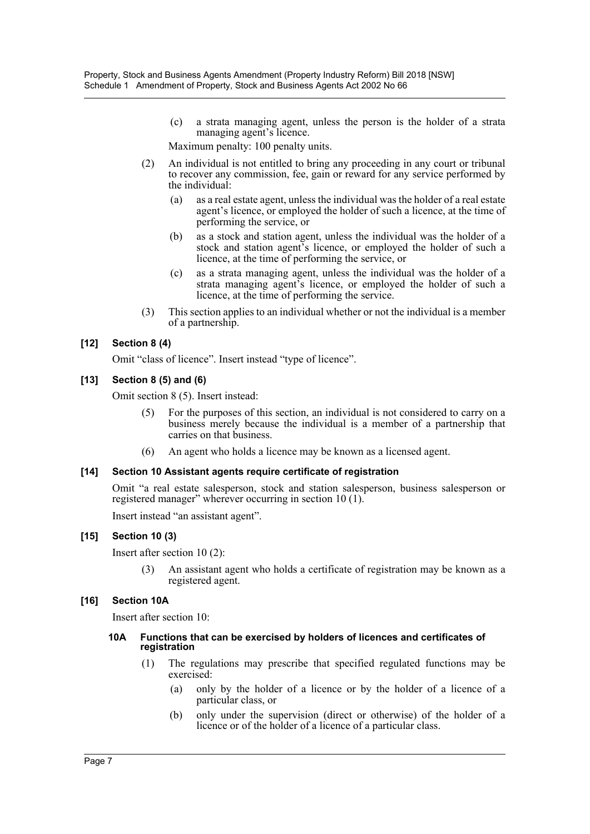(c) a strata managing agent, unless the person is the holder of a strata managing agent's licence.

Maximum penalty: 100 penalty units.

- (2) An individual is not entitled to bring any proceeding in any court or tribunal to recover any commission, fee, gain or reward for any service performed by the individual:
	- (a) as a real estate agent, unless the individual was the holder of a real estate agent's licence, or employed the holder of such a licence, at the time of performing the service, or
	- (b) as a stock and station agent, unless the individual was the holder of a stock and station agent's licence, or employed the holder of such a licence, at the time of performing the service, or
	- (c) as a strata managing agent, unless the individual was the holder of a strata managing agent's licence, or employed the holder of such a licence, at the time of performing the service.
- (3) This section applies to an individual whether or not the individual is a member of a partnership.

### **[12] Section 8 (4)**

Omit "class of licence". Insert instead "type of licence".

### **[13] Section 8 (5) and (6)**

Omit section 8 (5). Insert instead:

- For the purposes of this section, an individual is not considered to carry on a business merely because the individual is a member of a partnership that carries on that business.
- (6) An agent who holds a licence may be known as a licensed agent.

### **[14] Section 10 Assistant agents require certificate of registration**

Omit "a real estate salesperson, stock and station salesperson, business salesperson or registered manager" wherever occurring in section 10 (1).

Insert instead "an assistant agent".

### **[15] Section 10 (3)**

Insert after section 10 (2):

(3) An assistant agent who holds a certificate of registration may be known as a registered agent.

### **[16] Section 10A**

Insert after section 10:

#### **10A Functions that can be exercised by holders of licences and certificates of registration**

- (1) The regulations may prescribe that specified regulated functions may be exercised:
	- (a) only by the holder of a licence or by the holder of a licence of a particular class, or
	- (b) only under the supervision (direct or otherwise) of the holder of a licence or of the holder of a licence of a particular class.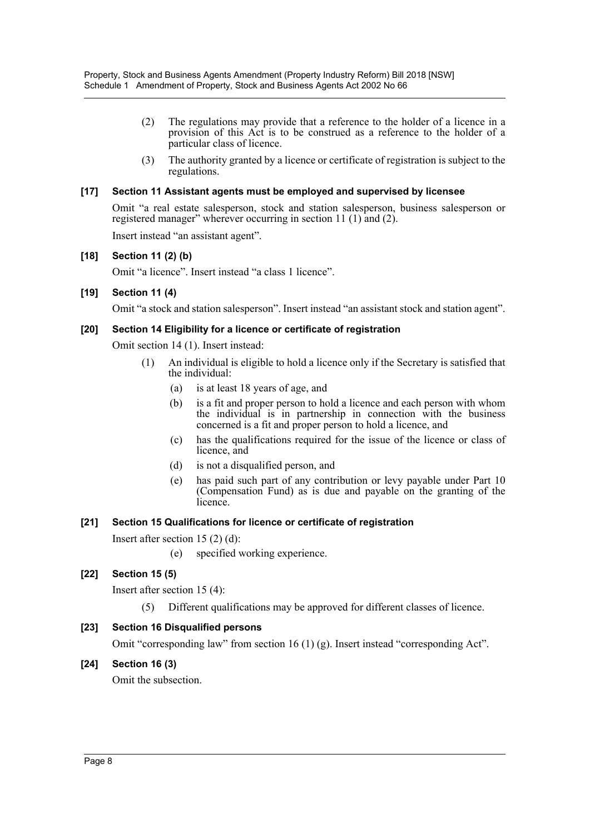- (2) The regulations may provide that a reference to the holder of a licence in a provision of this Act is to be construed as a reference to the holder of a particular class of licence.
- (3) The authority granted by a licence or certificate of registration is subject to the regulations.

### **[17] Section 11 Assistant agents must be employed and supervised by licensee**

Omit "a real estate salesperson, stock and station salesperson, business salesperson or registered manager" wherever occurring in section 11 (1) and (2).

Insert instead "an assistant agent".

### **[18] Section 11 (2) (b)**

Omit "a licence". Insert instead "a class 1 licence".

### **[19] Section 11 (4)**

Omit "a stock and station salesperson". Insert instead "an assistant stock and station agent".

### **[20] Section 14 Eligibility for a licence or certificate of registration**

Omit section 14 (1). Insert instead:

- (1) An individual is eligible to hold a licence only if the Secretary is satisfied that the individual:
	- (a) is at least 18 years of age, and
	- (b) is a fit and proper person to hold a licence and each person with whom the individual is in partnership in connection with the business concerned is a fit and proper person to hold a licence, and
	- (c) has the qualifications required for the issue of the licence or class of licence, and
	- (d) is not a disqualified person, and
	- (e) has paid such part of any contribution or levy payable under Part 10 (Compensation Fund) as is due and payable on the granting of the licence.

### **[21] Section 15 Qualifications for licence or certificate of registration**

Insert after section 15 (2) (d):

(e) specified working experience.

### **[22] Section 15 (5)**

Insert after section 15 (4):

(5) Different qualifications may be approved for different classes of licence.

### **[23] Section 16 Disqualified persons**

Omit "corresponding law" from section 16 (1) (g). Insert instead "corresponding Act".

### **[24] Section 16 (3)**

Omit the subsection.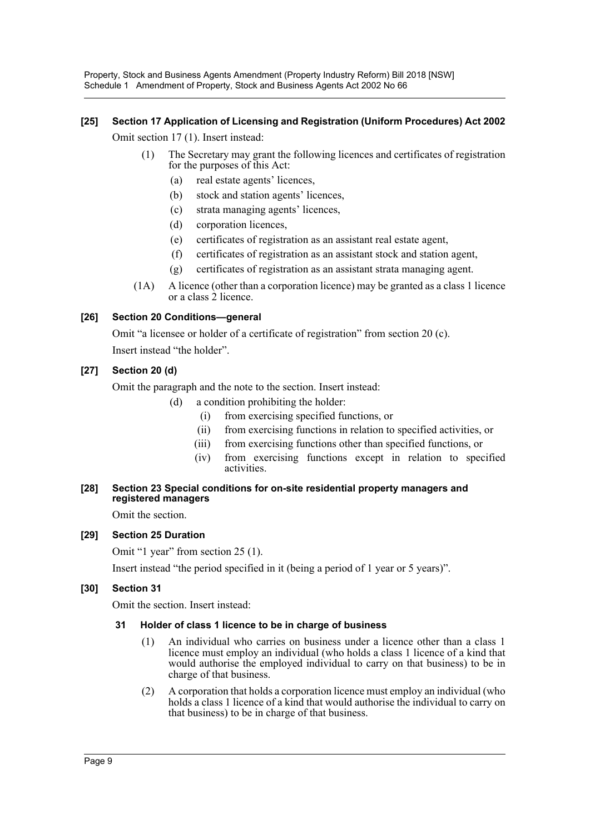Property, Stock and Business Agents Amendment (Property Industry Reform) Bill 2018 [NSW] Schedule 1 Amendment of Property, Stock and Business Agents Act 2002 No 66

### **[25] Section 17 Application of Licensing and Registration (Uniform Procedures) Act 2002**

Omit section 17 (1). Insert instead:

- (1) The Secretary may grant the following licences and certificates of registration for the purposes of this Act:
	- (a) real estate agents' licences,
	- (b) stock and station agents' licences,
	- (c) strata managing agents' licences,
	- (d) corporation licences,
	- (e) certificates of registration as an assistant real estate agent,
	- (f) certificates of registration as an assistant stock and station agent,
	- (g) certificates of registration as an assistant strata managing agent.
- (1A) A licence (other than a corporation licence) may be granted as a class 1 licence or a class 2 licence.

### **[26] Section 20 Conditions—general**

Omit "a licensee or holder of a certificate of registration" from section 20 (c). Insert instead "the holder".

### **[27] Section 20 (d)**

Omit the paragraph and the note to the section. Insert instead:

- (d) a condition prohibiting the holder:
	- (i) from exercising specified functions, or
	- (ii) from exercising functions in relation to specified activities, or
	- (iii) from exercising functions other than specified functions, or
	- (iv) from exercising functions except in relation to specified activities.

### **[28] Section 23 Special conditions for on-site residential property managers and registered managers**

Omit the section.

### **[29] Section 25 Duration**

Omit "1 year" from section 25 (1).

Insert instead "the period specified in it (being a period of 1 year or 5 years)".

### **[30] Section 31**

Omit the section. Insert instead:

### **31 Holder of class 1 licence to be in charge of business**

- (1) An individual who carries on business under a licence other than a class 1 licence must employ an individual (who holds a class 1 licence of a kind that would authorise the employed individual to carry on that business) to be in charge of that business.
- (2) A corporation that holds a corporation licence must employ an individual (who holds a class 1 licence of a kind that would authorise the individual to carry on that business) to be in charge of that business.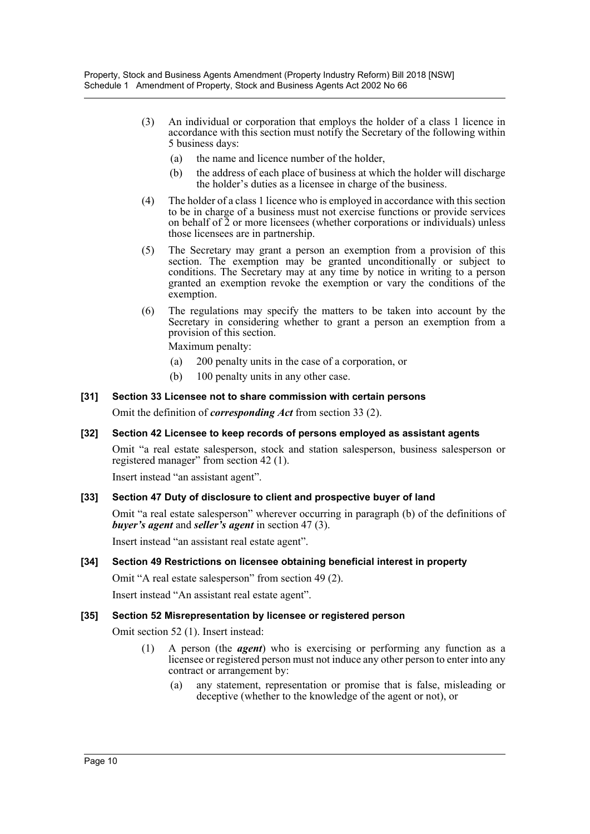- (3) An individual or corporation that employs the holder of a class 1 licence in accordance with this section must notify the Secretary of the following within 5 business days:
	- (a) the name and licence number of the holder,
	- (b) the address of each place of business at which the holder will discharge the holder's duties as a licensee in charge of the business.
- (4) The holder of a class 1 licence who is employed in accordance with this section to be in charge of a business must not exercise functions or provide services on behalf of 2 or more licensees (whether corporations or individuals) unless those licensees are in partnership.
- (5) The Secretary may grant a person an exemption from a provision of this section. The exemption may be granted unconditionally or subject to conditions. The Secretary may at any time by notice in writing to a person granted an exemption revoke the exemption or vary the conditions of the exemption.
- (6) The regulations may specify the matters to be taken into account by the Secretary in considering whether to grant a person an exemption from a provision of this section.

Maximum penalty:

- (a) 200 penalty units in the case of a corporation, or
- (b) 100 penalty units in any other case.

### **[31] Section 33 Licensee not to share commission with certain persons**

Omit the definition of *corresponding Act* from section 33 (2).

### **[32] Section 42 Licensee to keep records of persons employed as assistant agents**

Omit "a real estate salesperson, stock and station salesperson, business salesperson or registered manager" from section 42 (1).

Insert instead "an assistant agent".

### **[33] Section 47 Duty of disclosure to client and prospective buyer of land**

Omit "a real estate salesperson" wherever occurring in paragraph (b) of the definitions of *buyer's agent* and *seller's agent* in section 47 (3).

Insert instead "an assistant real estate agent".

### **[34] Section 49 Restrictions on licensee obtaining beneficial interest in property**

Omit "A real estate salesperson" from section 49 (2).

Insert instead "An assistant real estate agent".

### **[35] Section 52 Misrepresentation by licensee or registered person**

Omit section 52 (1). Insert instead:

- (1) A person (the *agent*) who is exercising or performing any function as a licensee or registered person must not induce any other person to enter into any contract or arrangement by:
	- (a) any statement, representation or promise that is false, misleading or deceptive (whether to the knowledge of the agent or not), or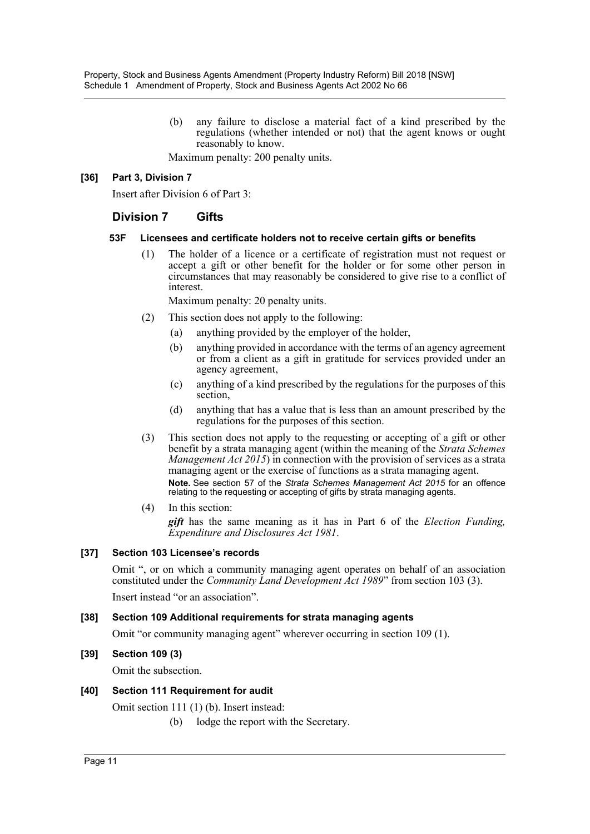(b) any failure to disclose a material fact of a kind prescribed by the regulations (whether intended or not) that the agent knows or ought reasonably to know.

Maximum penalty: 200 penalty units.

### **[36] Part 3, Division 7**

Insert after Division 6 of Part 3:

### **Division 7 Gifts**

### **53F Licensees and certificate holders not to receive certain gifts or benefits**

(1) The holder of a licence or a certificate of registration must not request or accept a gift or other benefit for the holder or for some other person in circumstances that may reasonably be considered to give rise to a conflict of interest.

Maximum penalty: 20 penalty units.

- (2) This section does not apply to the following:
	- (a) anything provided by the employer of the holder,
	- (b) anything provided in accordance with the terms of an agency agreement or from a client as a gift in gratitude for services provided under an agency agreement,
	- (c) anything of a kind prescribed by the regulations for the purposes of this section,
	- (d) anything that has a value that is less than an amount prescribed by the regulations for the purposes of this section.
- (3) This section does not apply to the requesting or accepting of a gift or other benefit by a strata managing agent (within the meaning of the *Strata Schemes Management Act 2015*) in connection with the provision of services as a strata managing agent or the exercise of functions as a strata managing agent. **Note.** See section 57 of the *Strata Schemes Management Act 2015* for an offence relating to the requesting or accepting of gifts by strata managing agents.
- (4) In this section:

*gift* has the same meaning as it has in Part 6 of the *Election Funding, Expenditure and Disclosures Act 1981*.

### **[37] Section 103 Licensee's records**

Omit ", or on which a community managing agent operates on behalf of an association constituted under the *Community Land Development Act 1989*" from section 103 (3).

Insert instead "or an association".

### **[38] Section 109 Additional requirements for strata managing agents**

Omit "or community managing agent" wherever occurring in section 109 (1).

### **[39] Section 109 (3)**

Omit the subsection.

### **[40] Section 111 Requirement for audit**

Omit section 111 (1) (b). Insert instead:

(b) lodge the report with the Secretary.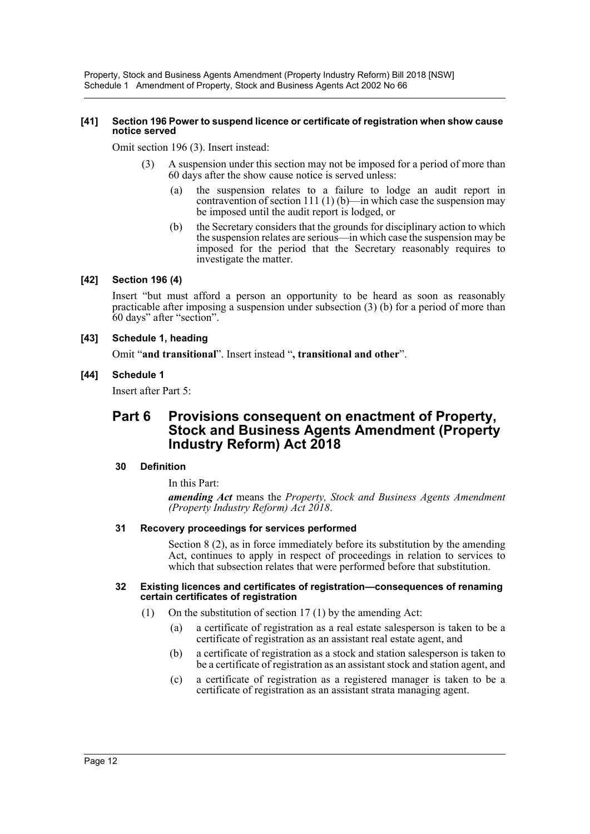Property, Stock and Business Agents Amendment (Property Industry Reform) Bill 2018 [NSW] Schedule 1 Amendment of Property, Stock and Business Agents Act 2002 No 66

#### **[41] Section 196 Power to suspend licence or certificate of registration when show cause notice served**

Omit section 196 (3). Insert instead:

- A suspension under this section may not be imposed for a period of more than 60 days after the show cause notice is served unless:
	- (a) the suspension relates to a failure to lodge an audit report in contravention of section 111 (1) (b)—in which case the suspension may be imposed until the audit report is lodged, or
	- (b) the Secretary considers that the grounds for disciplinary action to which the suspension relates are serious—in which case the suspension may be imposed for the period that the Secretary reasonably requires to investigate the matter.

### **[42] Section 196 (4)**

Insert "but must afford a person an opportunity to be heard as soon as reasonably practicable after imposing a suspension under subsection (3) (b) for a period of more than 60 days" after "section".

#### **[43] Schedule 1, heading**

Omit "**and transitional**". Insert instead "**, transitional and other**".

#### **[44] Schedule 1**

Insert after Part 5:

# **Part 6 Provisions consequent on enactment of Property, Stock and Business Agents Amendment (Property Industry Reform) Act 2018**

### **30 Definition**

In this Part:

*amending Act* means the *Property, Stock and Business Agents Amendment (Property Industry Reform) Act 2018*.

#### **31 Recovery proceedings for services performed**

Section 8 (2), as in force immediately before its substitution by the amending Act, continues to apply in respect of proceedings in relation to services to which that subsection relates that were performed before that substitution.

#### **32 Existing licences and certificates of registration—consequences of renaming certain certificates of registration**

- (1) On the substitution of section 17 (1) by the amending Act:
	- (a) a certificate of registration as a real estate salesperson is taken to be a certificate of registration as an assistant real estate agent, and
	- (b) a certificate of registration as a stock and station salesperson is taken to be a certificate of registration as an assistant stock and station agent, and
	- (c) a certificate of registration as a registered manager is taken to be a certificate of registration as an assistant strata managing agent.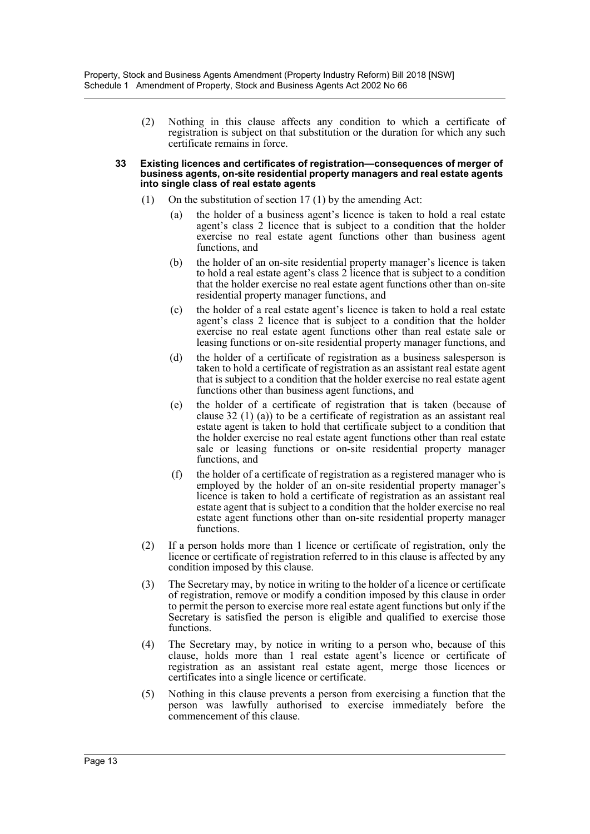(2) Nothing in this clause affects any condition to which a certificate of registration is subject on that substitution or the duration for which any such certificate remains in force.

#### **33 Existing licences and certificates of registration—consequences of merger of business agents, on-site residential property managers and real estate agents into single class of real estate agents**

- (1) On the substitution of section 17 (1) by the amending Act:
	- (a) the holder of a business agent's licence is taken to hold a real estate agent's class 2 licence that is subject to a condition that the holder exercise no real estate agent functions other than business agent functions, and
	- (b) the holder of an on-site residential property manager's licence is taken to hold a real estate agent's class 2 licence that is subject to a condition that the holder exercise no real estate agent functions other than on-site residential property manager functions, and
	- (c) the holder of a real estate agent's licence is taken to hold a real estate agent's class 2 licence that is subject to a condition that the holder exercise no real estate agent functions other than real estate sale or leasing functions or on-site residential property manager functions, and
	- (d) the holder of a certificate of registration as a business salesperson is taken to hold a certificate of registration as an assistant real estate agent that is subject to a condition that the holder exercise no real estate agent functions other than business agent functions, and
	- (e) the holder of a certificate of registration that is taken (because of clause 32 (1) (a)) to be a certificate of registration as an assistant real estate agent is taken to hold that certificate subject to a condition that the holder exercise no real estate agent functions other than real estate sale or leasing functions or on-site residential property manager functions, and
	- (f) the holder of a certificate of registration as a registered manager who is employed by the holder of an on-site residential property manager's licence is taken to hold a certificate of registration as an assistant real estate agent that is subject to a condition that the holder exercise no real estate agent functions other than on-site residential property manager functions.
- (2) If a person holds more than 1 licence or certificate of registration, only the licence or certificate of registration referred to in this clause is affected by any condition imposed by this clause.
- (3) The Secretary may, by notice in writing to the holder of a licence or certificate of registration, remove or modify a condition imposed by this clause in order to permit the person to exercise more real estate agent functions but only if the Secretary is satisfied the person is eligible and qualified to exercise those functions.
- (4) The Secretary may, by notice in writing to a person who, because of this clause, holds more than 1 real estate agent's licence or certificate of registration as an assistant real estate agent, merge those licences or certificates into a single licence or certificate.
- (5) Nothing in this clause prevents a person from exercising a function that the person was lawfully authorised to exercise immediately before the commencement of this clause.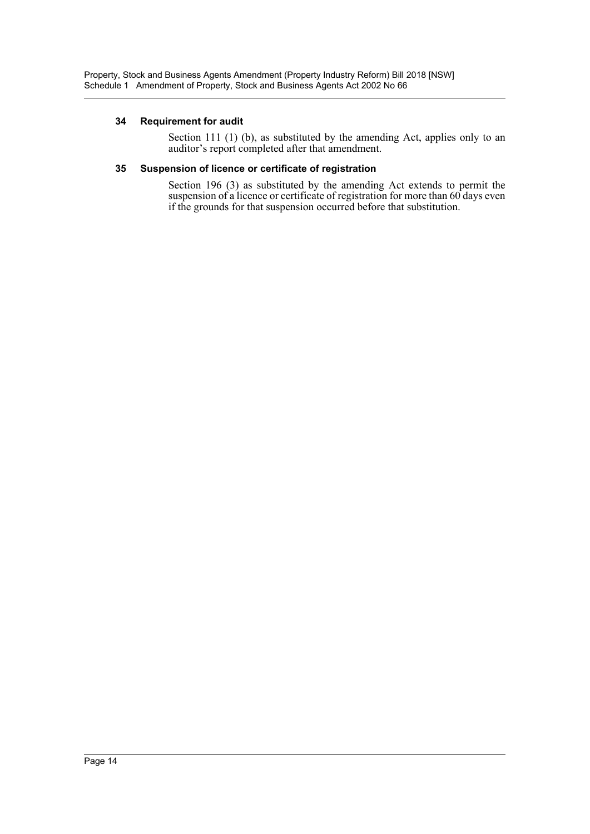### **34 Requirement for audit**

Section 111 (1) (b), as substituted by the amending Act, applies only to an auditor's report completed after that amendment.

### **35 Suspension of licence or certificate of registration**

Section 196 (3) as substituted by the amending Act extends to permit the suspension of a licence or certificate of registration for more than 60 days even if the grounds for that suspension occurred before that substitution.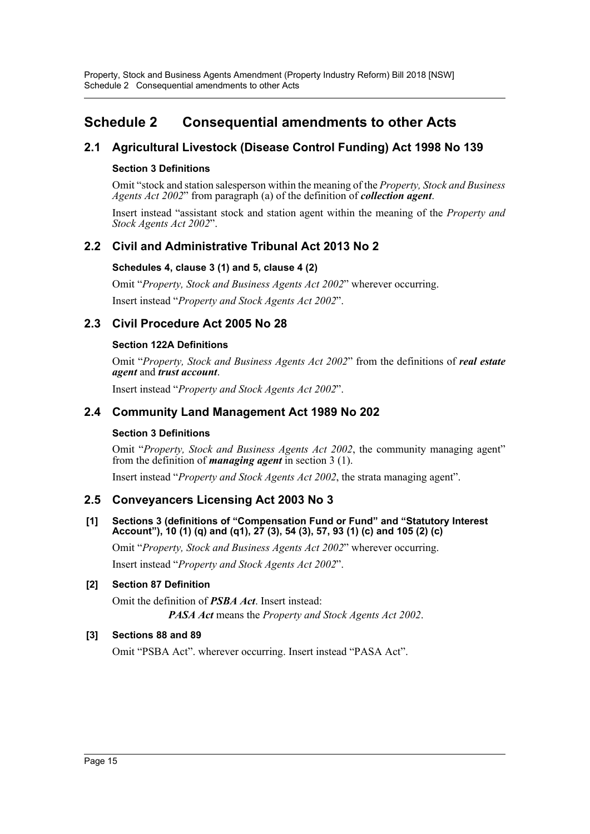# <span id="page-15-0"></span>**Schedule 2 Consequential amendments to other Acts**

# **2.1 Agricultural Livestock (Disease Control Funding) Act 1998 No 139**

### **Section 3 Definitions**

Omit "stock and station salesperson within the meaning of the *Property, Stock and Business Agents Act 2002*" from paragraph (a) of the definition of *collection agent*.

Insert instead "assistant stock and station agent within the meaning of the *Property and Stock Agents Act 2002*".

## **2.2 Civil and Administrative Tribunal Act 2013 No 2**

### **Schedules 4, clause 3 (1) and 5, clause 4 (2)**

Omit "*Property, Stock and Business Agents Act 2002*" wherever occurring. Insert instead "*Property and Stock Agents Act 2002*".

## **2.3 Civil Procedure Act 2005 No 28**

### **Section 122A Definitions**

Omit "*Property, Stock and Business Agents Act 2002*" from the definitions of *real estate agent* and *trust account*.

Insert instead "*Property and Stock Agents Act 2002*".

### **2.4 Community Land Management Act 1989 No 202**

### **Section 3 Definitions**

Omit "*Property, Stock and Business Agents Act 2002*, the community managing agent" from the definition of *managing agent* in section 3 (1).

Insert instead "*Property and Stock Agents Act 2002*, the strata managing agent".

### **2.5 Conveyancers Licensing Act 2003 No 3**

### **[1] Sections 3 (definitions of "Compensation Fund or Fund" and "Statutory Interest Account"), 10 (1) (q) and (q1), 27 (3), 54 (3), 57, 93 (1) (c) and 105 (2) (c)**

Omit "*Property, Stock and Business Agents Act 2002*" wherever occurring.

Insert instead "*Property and Stock Agents Act 2002*".

### **[2] Section 87 Definition**

Omit the definition of *PSBA Act*. Insert instead: *PASA Act* means the *Property and Stock Agents Act 2002*.

### **[3] Sections 88 and 89**

Omit "PSBA Act". wherever occurring. Insert instead "PASA Act".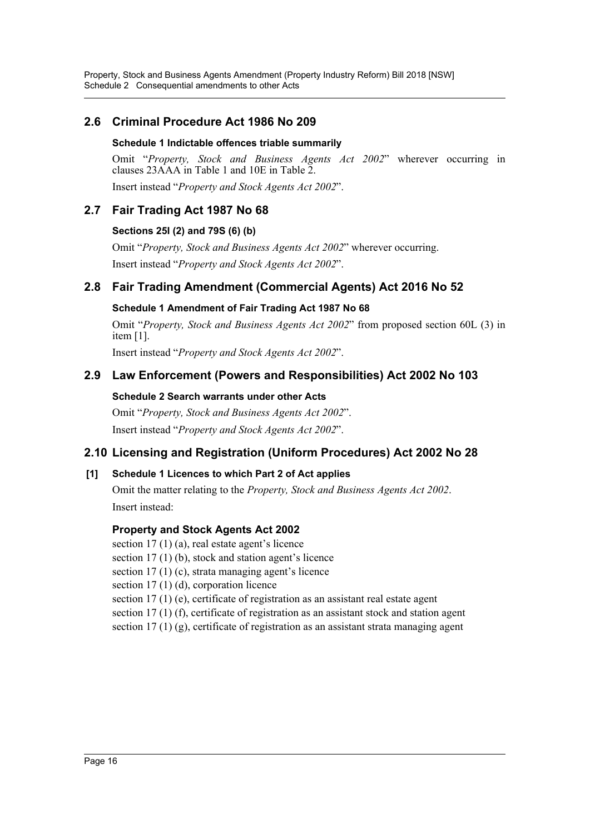Property, Stock and Business Agents Amendment (Property Industry Reform) Bill 2018 [NSW] Schedule 2 Consequential amendments to other Acts

### **2.6 Criminal Procedure Act 1986 No 209**

### **Schedule 1 Indictable offences triable summarily**

Omit "*Property, Stock and Business Agents Act 2002*" wherever occurring in clauses 23AAA in Table 1 and 10E in Table 2.

Insert instead "*Property and Stock Agents Act 2002*".

### **2.7 Fair Trading Act 1987 No 68**

### **Sections 25I (2) and 79S (6) (b)**

Omit "*Property, Stock and Business Agents Act 2002*" wherever occurring. Insert instead "*Property and Stock Agents Act 2002*".

### **2.8 Fair Trading Amendment (Commercial Agents) Act 2016 No 52**

### **Schedule 1 Amendment of Fair Trading Act 1987 No 68**

Omit "*Property, Stock and Business Agents Act 2002*" from proposed section 60L (3) in item [1].

Insert instead "*Property and Stock Agents Act 2002*".

### **2.9 Law Enforcement (Powers and Responsibilities) Act 2002 No 103**

### **Schedule 2 Search warrants under other Acts**

Omit "*Property, Stock and Business Agents Act 2002*". Insert instead "*Property and Stock Agents Act 2002*".

### **2.10 Licensing and Registration (Uniform Procedures) Act 2002 No 28**

### **[1] Schedule 1 Licences to which Part 2 of Act applies**

Omit the matter relating to the *Property, Stock and Business Agents Act 2002*. Insert instead:

### **Property and Stock Agents Act 2002**

section 17 (1) (a), real estate agent's licence

section 17 (1) (b), stock and station agent's licence

section 17 (1) (c), strata managing agent's licence

section 17 (1) (d), corporation licence

section 17 (1) (e), certificate of registration as an assistant real estate agent

section 17 (1) (f), certificate of registration as an assistant stock and station agent

section 17 (1) (g), certificate of registration as an assistant strata managing agent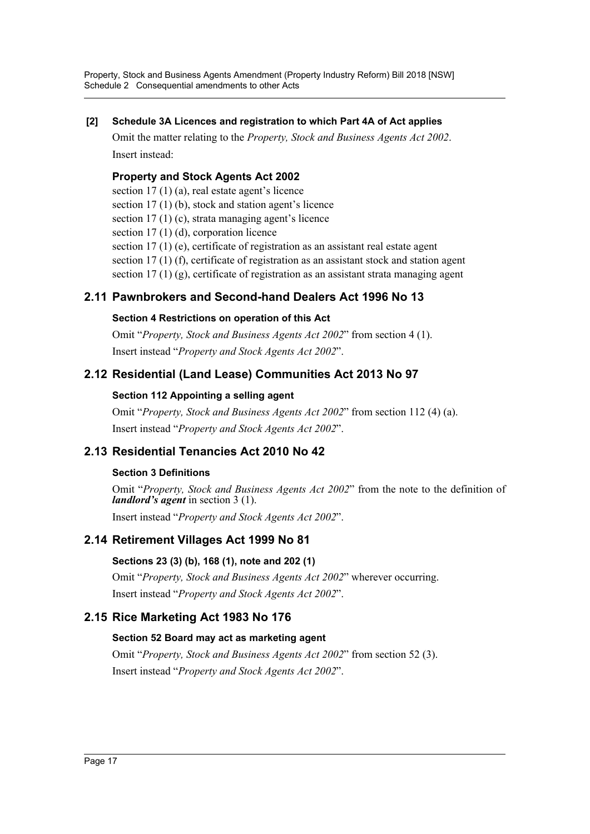Property, Stock and Business Agents Amendment (Property Industry Reform) Bill 2018 [NSW] Schedule 2 Consequential amendments to other Acts

### **[2] Schedule 3A Licences and registration to which Part 4A of Act applies**

Omit the matter relating to the *Property, Stock and Business Agents Act 2002*. Insert instead:

### **Property and Stock Agents Act 2002**

section 17 (1) (a), real estate agent's licence

section 17 (1) (b), stock and station agent's licence

section 17 (1) (c), strata managing agent's licence

section 17 (1) (d), corporation licence

section 17 (1) (e), certificate of registration as an assistant real estate agent

section 17 (1) (f), certificate of registration as an assistant stock and station agent

section 17 (1) (g), certificate of registration as an assistant strata managing agent

# **2.11 Pawnbrokers and Second-hand Dealers Act 1996 No 13**

### **Section 4 Restrictions on operation of this Act**

Omit "*Property, Stock and Business Agents Act 2002*" from section 4 (1). Insert instead "*Property and Stock Agents Act 2002*".

# **2.12 Residential (Land Lease) Communities Act 2013 No 97**

### **Section 112 Appointing a selling agent**

Omit "*Property, Stock and Business Agents Act 2002*" from section 112 (4) (a). Insert instead "*Property and Stock Agents Act 2002*".

# **2.13 Residential Tenancies Act 2010 No 42**

# **Section 3 Definitions**

Omit "*Property, Stock and Business Agents Act 2002*" from the note to the definition of *landlord's agent* in section 3 (1).

Insert instead "*Property and Stock Agents Act 2002*".

# **2.14 Retirement Villages Act 1999 No 81**

### **Sections 23 (3) (b), 168 (1), note and 202 (1)**

Omit "*Property, Stock and Business Agents Act 2002*" wherever occurring. Insert instead "*Property and Stock Agents Act 2002*".

# **2.15 Rice Marketing Act 1983 No 176**

### **Section 52 Board may act as marketing agent**

Omit "*Property, Stock and Business Agents Act 2002*" from section 52 (3). Insert instead "*Property and Stock Agents Act 2002*".